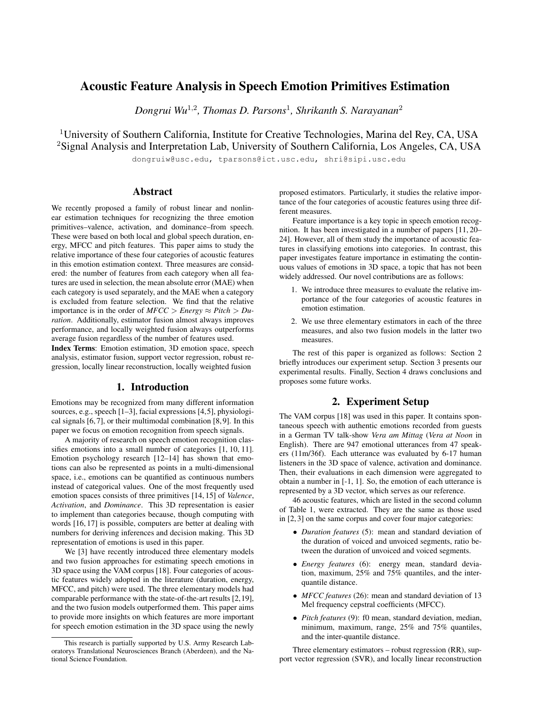# Acoustic Feature Analysis in Speech Emotion Primitives Estimation

*Dongrui Wu*<sup>1</sup>,<sup>2</sup> *, Thomas D. Parsons*<sup>1</sup> *, Shrikanth S. Narayanan*<sup>2</sup>

<sup>1</sup>University of Southern California, Institute for Creative Technologies, Marina del Rey, CA, USA <sup>2</sup>Signal Analysis and Interpretation Lab, University of Southern California, Los Angeles, CA, USA

dongruiw@usc.edu, tparsons@ict.usc.edu, shri@sipi.usc.edu

## Abstract

We recently proposed a family of robust linear and nonlinear estimation techniques for recognizing the three emotion primitives–valence, activation, and dominance–from speech. These were based on both local and global speech duration, energy, MFCC and pitch features. This paper aims to study the relative importance of these four categories of acoustic features in this emotion estimation context. Three measures are considered: the number of features from each category when all features are used in selection, the mean absolute error (MAE) when each category is used separately, and the MAE when a category is excluded from feature selection. We find that the relative importance is in the order of  $MFCC > Energy \approx Pitch > Du$ *ration*. Additionally, estimator fusion almost always improves performance, and locally weighted fusion always outperforms average fusion regardless of the number of features used.

Index Terms: Emotion estimation, 3D emotion space, speech analysis, estimator fusion, support vector regression, robust regression, locally linear reconstruction, locally weighted fusion

### 1. Introduction

Emotions may be recognized from many different information sources, e.g., speech [1–3], facial expressions [4,5], physiological signals [6,7], or their multimodal combination [8,9]. In this paper we focus on emotion recognition from speech signals.

A majority of research on speech emotion recognition classifies emotions into a small number of categories [1, 10, 11]. Emotion psychology research [12–14] has shown that emotions can also be represented as points in a multi-dimensional space, i.e., emotions can be quantified as continuous numbers instead of categorical values. One of the most frequently used emotion spaces consists of three primitives [14, 15] of *Valence*, *Activation*, and *Dominance*. This 3D representation is easier to implement than categories because, though computing with words [16, 17] is possible, computers are better at dealing with numbers for deriving inferences and decision making. This 3D representation of emotions is used in this paper.

We [3] have recently introduced three elementary models and two fusion approaches for estimating speech emotions in 3D space using the VAM corpus [18]. Four categories of acoustic features widely adopted in the literature (duration, energy, MFCC, and pitch) were used. The three elementary models had comparable performance with the state-of-the-art results [2,19], and the two fusion models outperformed them. This paper aims to provide more insights on which features are more important for speech emotion estimation in the 3D space using the newly proposed estimators. Particularly, it studies the relative importance of the four categories of acoustic features using three different measures.

Feature importance is a key topic in speech emotion recognition. It has been investigated in a number of papers [11, 20– 24]. However, all of them study the importance of acoustic features in classifying emotions into categories. In contrast, this paper investigates feature importance in estimating the continuous values of emotions in 3D space, a topic that has not been widely addressed. Our novel contributions are as follows:

- 1. We introduce three measures to evaluate the relative importance of the four categories of acoustic features in emotion estimation.
- 2. We use three elementary estimators in each of the three measures, and also two fusion models in the latter two measures.

The rest of this paper is organized as follows: Section 2 briefly introduces our experiment setup. Section 3 presents our experimental results. Finally, Section 4 draws conclusions and proposes some future works.

## 2. Experiment Setup

The VAM corpus [18] was used in this paper. It contains spontaneous speech with authentic emotions recorded from guests in a German TV talk-show *Vera am Mittag* (*Vera at Noon* in English). There are 947 emotional utterances from 47 speakers (11m/36f). Each utterance was evaluated by 6-17 human listeners in the 3D space of valence, activation and dominance. Then, their evaluations in each dimension were aggregated to obtain a number in [-1, 1]. So, the emotion of each utterance is represented by a 3D vector, which serves as our reference.

46 acoustic features, which are listed in the second column of Table 1, were extracted. They are the same as those used in [2, 3] on the same corpus and cover four major categories:

- *Duration features* (5): mean and standard deviation of the duration of voiced and unvoiced segments, ratio between the duration of unvoiced and voiced segments.
- *Energy features* (6): energy mean, standard deviation, maximum, 25% and 75% quantiles, and the interquantile distance.
- *MFCC features* (26): mean and standard deviation of 13 Mel frequency cepstral coefficients (MFCC).
- *Pitch features* (9): f0 mean, standard deviation, median, minimum, maximum, range, 25% and 75% quantiles, and the inter-quantile distance.

Three elementary estimators – robust regression (RR), support vector regression (SVR), and locally linear reconstruction

This research is partially supported by U.S. Army Research Laboratorys Translational Neurosciences Branch (Aberdeen), and the National Science Foundation.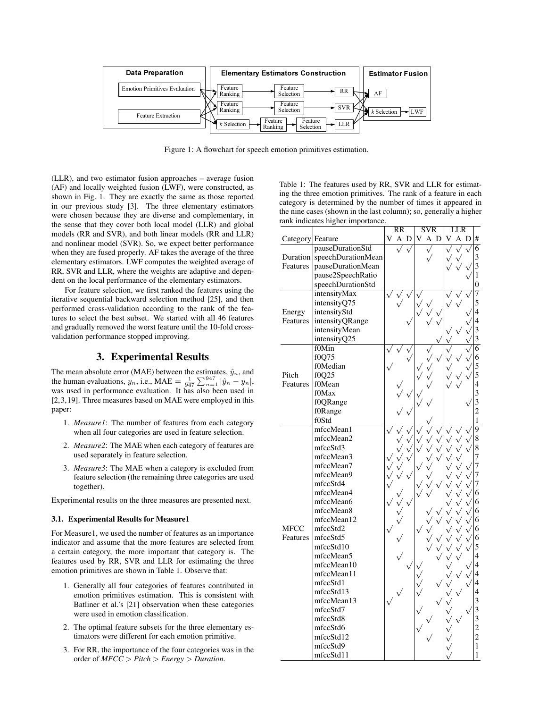

Figure 1: A flowchart for speech emotion primitives estimation.

(LLR), and two estimator fusion approaches – average fusion (AF) and locally weighted fusion (LWF), were constructed, as shown in Fig. 1. They are exactly the same as those reported in our previous study [3]. The three elementary estimators were chosen because they are diverse and complementary, in the sense that they cover both local model (LLR) and global models (RR and SVR), and both linear models (RR and LLR) and nonlinear model (SVR). So, we expect better performance when they are fused properly. AF takes the average of the three elementary estimators. LWF computes the weighted average of RR, SVR and LLR, where the weights are adaptive and dependent on the local performance of the elementary estimators.

For feature selection, we first ranked the features using the iterative sequential backward selection method [25], and then performed cross-validation according to the rank of the features to select the best subset. We started with all 46 features and gradually removed the worst feature until the 10-fold crossvalidation performance stopped improving.

## 3. Experimental Results

The mean absolute error (MAE) between the estimates,  $\hat{y}_n$ , and The mean absolute error (MAE) between the estimates,  $y_n$ , and<br>the human evaluations,  $y_n$ , i.e., MAE =  $\frac{1}{947} \sum_{n=1}^{947} |\hat{y}_n - y_n|$ , was used in performance evaluation. It has also been used in [2,3,19]. Three measures based on MAE were employed in this paper:

- 1. *Measure1*: The number of features from each category when all four categories are used in feature selection.
- 2. *Measure2*: The MAE when each category of features are used separately in feature selection.
- 3. *Measure3*: The MAE when a category is excluded from feature selection (the remaining three categories are used together).

Experimental results on the three measures are presented next.

#### 3.1. Experimental Results for Measure1

For Measure1, we used the number of features as an importance indicator and assume that the more features are selected from a certain category, the more important that category is. The features used by RR, SVR and LLR for estimating the three emotion primitives are shown in Table 1. Observe that:

- 1. Generally all four categories of features contributed in emotion primitives estimation. This is consistent with Batliner et al.'s [21] observation when these categories were used in emotion classification.
- 2. The optimal feature subsets for the three elementary estimators were different for each emotion primitive.
- 3. For RR, the importance of the four categories was in the order of *MFCC* > *Pitch* > *Energy* > *Duration*.

Table 1: The features used by RR, SVR and LLR for estimating the three emotion primitives. The rank of a feature in each category is determined by the number of times it appeared in the nine cases (shown in the last column); so, generally a higher rank indicates higher importance.

|                  |                    | RR |     |  | <b>SVR</b> |     |  | LLR |     |  |                         |
|------------------|--------------------|----|-----|--|------------|-----|--|-----|-----|--|-------------------------|
| Category Feature |                    | V  | A D |  | V          | A D |  | V   | A D |  | #                       |
|                  | pauseDurationStd   |    |     |  |            |     |  |     |     |  | $\overline{6}$          |
| Duration         | speechDurationMean |    |     |  |            |     |  |     |     |  | 3                       |
| Features         | pauseDurationMean  |    |     |  |            |     |  |     |     |  | 3                       |
|                  | pause2SpeechRatio  |    |     |  |            |     |  |     |     |  | $\,1$                   |
|                  | speechDurationStd  |    |     |  |            |     |  |     |     |  | $\overline{0}$          |
|                  | intensityMax       |    |     |  |            |     |  |     |     |  | $\overline{7}$          |
|                  | intensityQ75       |    |     |  |            |     |  |     |     |  | 5                       |
| Energy           | intensityStd       |    |     |  |            |     |  |     |     |  | $\overline{4}$          |
| Features         | intensityQRange    |    |     |  |            |     |  |     |     |  | $\overline{4}$          |
|                  | intensityMean      |    |     |  |            |     |  |     |     |  | 3                       |
|                  | intensityQ25       |    |     |  |            |     |  |     |     |  | 3                       |
|                  | f0Min              |    |     |  |            |     |  |     |     |  | $\overline{6}$          |
|                  | f0Q75              |    |     |  |            |     |  |     |     |  | 6                       |
|                  | f0Median           |    |     |  |            |     |  |     |     |  | 5                       |
| Pitch            | f0Q25              |    |     |  |            |     |  |     |     |  | 5                       |
| Features         | f0Mean             |    |     |  |            |     |  |     |     |  | $\overline{4}$          |
|                  | f0Max              |    |     |  |            |     |  |     |     |  | 3                       |
|                  | f0QRange           |    |     |  |            |     |  |     |     |  | $\overline{\mathbf{3}}$ |
|                  | f0Range            |    |     |  |            |     |  |     |     |  | $\overline{c}$          |
|                  | f0Std              |    |     |  |            |     |  |     |     |  | $\mathbf{1}$            |
| <b>MFCC</b>      | mfccMean1          |    |     |  |            |     |  |     |     |  | $\overline{9}$          |
|                  | mfccMean2          |    |     |  |            |     |  |     |     |  | 8                       |
|                  | mfccStd3           |    |     |  |            |     |  |     |     |  | 8                       |
|                  | mfccMean3          |    |     |  |            |     |  |     |     |  | 7                       |
|                  | mfccMean7          |    |     |  |            |     |  |     |     |  | 7                       |
|                  | mfccMean9          |    |     |  |            |     |  |     |     |  | 7                       |
|                  | mfccStd4           |    |     |  |            |     |  |     |     |  | 7                       |
|                  | mfccMean4          |    |     |  |            |     |  |     |     |  | 6                       |
|                  | mfccMean6          |    |     |  |            |     |  |     |     |  | 6                       |
|                  | mfccMean8          |    |     |  |            |     |  |     |     |  | 6                       |
|                  | mfccMean12         |    |     |  |            |     |  |     |     |  |                         |
|                  | mfccStd2           |    |     |  |            |     |  |     |     |  | 6                       |
|                  | mfccStd5           |    |     |  |            |     |  |     |     |  | 6<br>6                  |
| Features         |                    |    |     |  |            |     |  |     |     |  |                         |
|                  | mfccStd10          |    |     |  |            |     |  |     |     |  | 5                       |
|                  | mfccMean5          |    |     |  |            |     |  |     |     |  | 4<br>4                  |
|                  | mfccMean10         |    |     |  |            |     |  |     |     |  |                         |
|                  | mfccMean11         |    |     |  |            |     |  |     |     |  | 4                       |
|                  | mfccStd1           |    |     |  |            |     |  |     |     |  | 4                       |
|                  | mfccStd13          |    |     |  |            |     |  |     |     |  | 4                       |
|                  | mfccMean13         |    |     |  |            |     |  |     |     |  | $\overline{\mathbf{3}}$ |
|                  | mfccStd7           |    |     |  |            |     |  |     |     |  | 3                       |
|                  | mfccStd8           |    |     |  |            |     |  |     |     |  | 3                       |
|                  | mfccStd6           |    |     |  |            |     |  |     |     |  | $\overline{c}$          |
|                  | mfccStd12          |    |     |  |            |     |  |     |     |  | $\overline{c}$          |
|                  | mfccStd9           |    |     |  |            |     |  |     |     |  | $\mathbf{1}$            |
|                  | mfccStd11          |    |     |  |            |     |  |     |     |  | 1                       |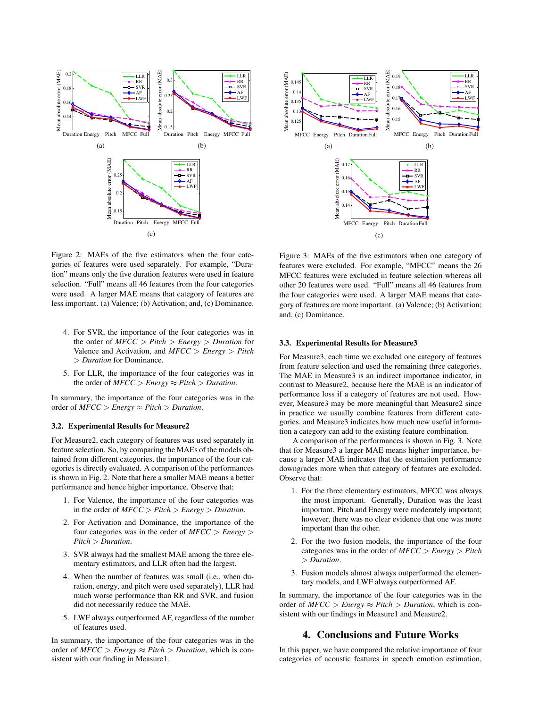

Figure 2: MAEs of the five estimators when the four categories of features were used separately. For example, "Duration" means only the five duration features were used in feature selection. "Full" means all 46 features from the four categories were used. A larger MAE means that category of features are less important. (a) Valence; (b) Activation; and, (c) Dominance.

- 4. For SVR, the importance of the four categories was in the order of *MFCC* > *Pitch* > *Energy* > *Duration* for Valence and Activation, and *MFCC* > *Energy* > *Pitch* > *Duration* for Dominance.
- 5. For LLR, the importance of the four categories was in the order of  $MFCC > Energy \approx Pitch >Duration$ .

In summary, the importance of the four categories was in the order of  $MFCC > Energy \approx Pitch >Duration$ .

#### 3.2. Experimental Results for Measure2

For Measure2, each category of features was used separately in feature selection. So, by comparing the MAEs of the models obtained from different categories, the importance of the four categories is directly evaluated. A comparison of the performances is shown in Fig. 2. Note that here a smaller MAE means a better performance and hence higher importance. Observe that:

- 1. For Valence, the importance of the four categories was in the order of *MFCC* > *Pitch* > *Energy* > *Duration*.
- 2. For Activation and Dominance, the importance of the four categories was in the order of *MFCC* > *Energy* > *Pitch* > *Duration*.
- 3. SVR always had the smallest MAE among the three elementary estimators, and LLR often had the largest.
- 4. When the number of features was small (i.e., when duration, energy, and pitch were used separately), LLR had much worse performance than RR and SVR, and fusion did not necessarily reduce the MAE.
- 5. LWF always outperformed AF, regardless of the number of features used.

In summary, the importance of the four categories was in the order of  $MFCC > Energy \approx Pitch >Duration$ , which is consistent with our finding in Measure1.



Figure 3: MAEs of the five estimators when one category of features were excluded. For example, "MFCC" means the 26 MFCC features were excluded in feature selection whereas all other 20 features were used. "Full" means all 46 features from the four categories were used. A larger MAE means that category of features are more important. (a) Valence; (b) Activation; and, (c) Dominance.

#### 3.3. Experimental Results for Measure3

For Measure3, each time we excluded one category of features from feature selection and used the remaining three categories. The MAE in Measure3 is an indirect importance indicator, in contrast to Measure2, because here the MAE is an indicator of performance loss if a category of features are not used. However, Measure3 may be more meaningful than Measure2 since in practice we usually combine features from different categories, and Measure3 indicates how much new useful information a category can add to the existing feature combination.

A comparison of the performances is shown in Fig. 3. Note that for Measure3 a larger MAE means higher importance, because a larger MAE indicates that the estimation performance downgrades more when that category of features are excluded. Observe that:

- 1. For the three elementary estimators, MFCC was always the most important. Generally, Duration was the least important. Pitch and Energy were moderately important; however, there was no clear evidence that one was more important than the other.
- 2. For the two fusion models, the importance of the four categories was in the order of *MFCC* > *Energy* > *Pitch* > *Duration*.
- 3. Fusion models almost always outperformed the elementary models, and LWF always outperformed AF.

In summary, the importance of the four categories was in the order of  $MFCC > Energy \approx Pitch >Duration$ , which is consistent with our findings in Measure1 and Measure2.

## 4. Conclusions and Future Works

In this paper, we have compared the relative importance of four categories of acoustic features in speech emotion estimation,